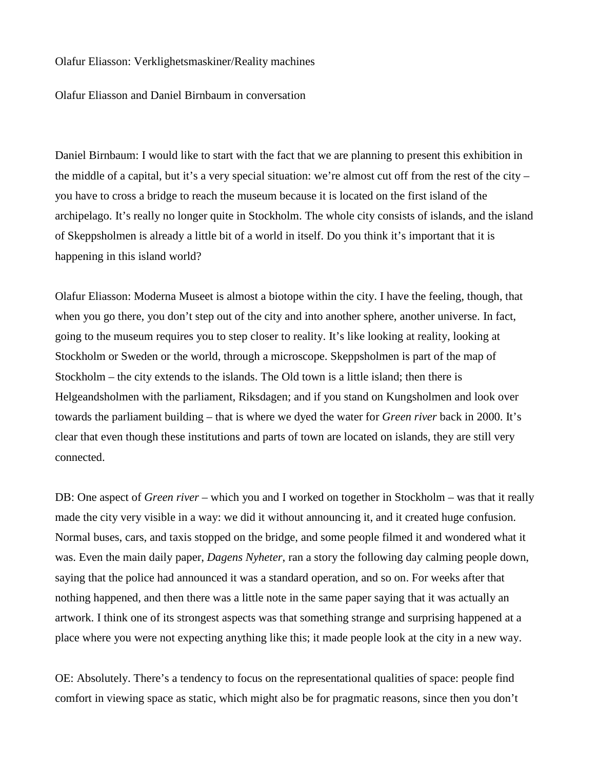## Olafur Eliasson: Verklighetsmaskiner/Reality machines

Olafur Eliasson and Daniel Birnbaum in conversation

Daniel Birnbaum: I would like to start with the fact that we are planning to present this exhibition in the middle of a capital, but it's a very special situation: we're almost cut off from the rest of the city – you have to cross a bridge to reach the museum because it is located on the first island of the archipelago. It's really no longer quite in Stockholm. The whole city consists of islands, and the island of Skeppsholmen is already a little bit of a world in itself. Do you think it's important that it is happening in this island world?

Olafur Eliasson: Moderna Museet is almost a biotope within the city. I have the feeling, though, that when you go there, you don't step out of the city and into another sphere, another universe. In fact, going to the museum requires you to step closer to reality. It's like looking at reality, looking at Stockholm or Sweden or the world, through a microscope. Skeppsholmen is part of the map of Stockholm – the city extends to the islands. The Old town is a little island; then there is Helgeandsholmen with the parliament, Riksdagen; and if you stand on Kungsholmen and look over towards the parliament building – that is where we dyed the water for *Green river* back in 2000. It's clear that even though these institutions and parts of town are located on islands, they are still very connected.

DB: One aspect of *Green river* – which you and I worked on together in Stockholm – was that it really made the city very visible in a way: we did it without announcing it, and it created huge confusion. Normal buses, cars, and taxis stopped on the bridge, and some people filmed it and wondered what it was. Even the main daily paper, *Dagens Nyheter*, ran a story the following day calming people down, saying that the police had announced it was a standard operation, and so on. For weeks after that nothing happened, and then there was a little note in the same paper saying that it was actually an artwork. I think one of its strongest aspects was that something strange and surprising happened at a place where you were not expecting anything like this; it made people look at the city in a new way.

OE: Absolutely. There's a tendency to focus on the representational qualities of space: people find comfort in viewing space as static, which might also be for pragmatic reasons, since then you don't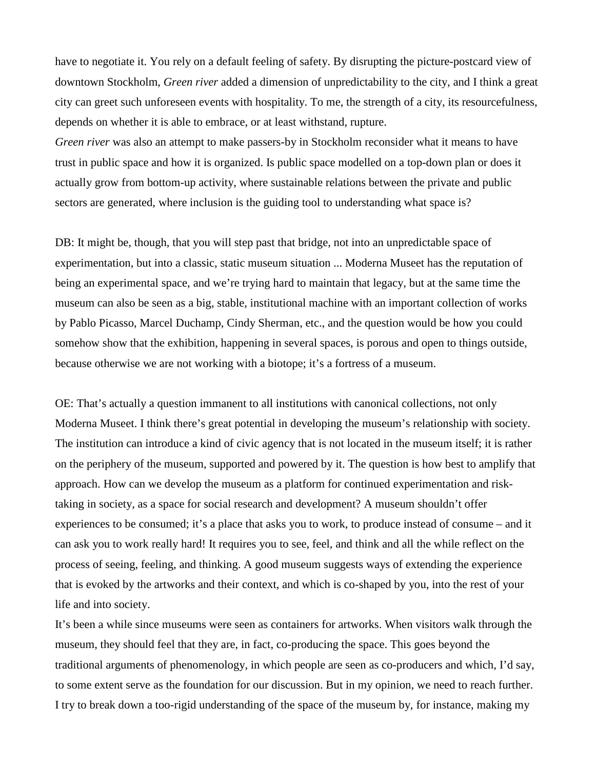have to negotiate it. You rely on a default feeling of safety. By disrupting the picture-postcard view of downtown Stockholm, *Green river* added a dimension of unpredictability to the city, and I think a great city can greet such unforeseen events with hospitality. To me, the strength of a city, its resourcefulness, depends on whether it is able to embrace, or at least withstand, rupture.

*Green river* was also an attempt to make passers-by in Stockholm reconsider what it means to have trust in public space and how it is organized. Is public space modelled on a top-down plan or does it actually grow from bottom-up activity, where sustainable relations between the private and public sectors are generated, where inclusion is the guiding tool to understanding what space is?

DB: It might be, though, that you will step past that bridge, not into an unpredictable space of experimentation, but into a classic, static museum situation ... Moderna Museet has the reputation of being an experimental space, and we're trying hard to maintain that legacy, but at the same time the museum can also be seen as a big, stable, institutional machine with an important collection of works by Pablo Picasso, Marcel Duchamp, Cindy Sherman, etc., and the question would be how you could somehow show that the exhibition, happening in several spaces, is porous and open to things outside, because otherwise we are not working with a biotope; it's a fortress of a museum.

OE: That's actually a question immanent to all institutions with canonical collections, not only Moderna Museet. I think there's great potential in developing the museum's relationship with society. The institution can introduce a kind of civic agency that is not located in the museum itself; it is rather on the periphery of the museum, supported and powered by it. The question is how best to amplify that approach. How can we develop the museum as a platform for continued experimentation and risktaking in society, as a space for social research and development? A museum shouldn't offer experiences to be consumed; it's a place that asks you to work, to produce instead of consume – and it can ask you to work really hard! It requires you to see, feel, and think and all the while reflect on the process of seeing, feeling, and thinking. A good museum suggests ways of extending the experience that is evoked by the artworks and their context, and which is co-shaped by you, into the rest of your life and into society.

It's been a while since museums were seen as containers for artworks. When visitors walk through the museum, they should feel that they are, in fact, co-producing the space. This goes beyond the traditional arguments of phenomenology, in which people are seen as co-producers and which, I'd say, to some extent serve as the foundation for our discussion. But in my opinion, we need to reach further. I try to break down a too-rigid understanding of the space of the museum by, for instance, making my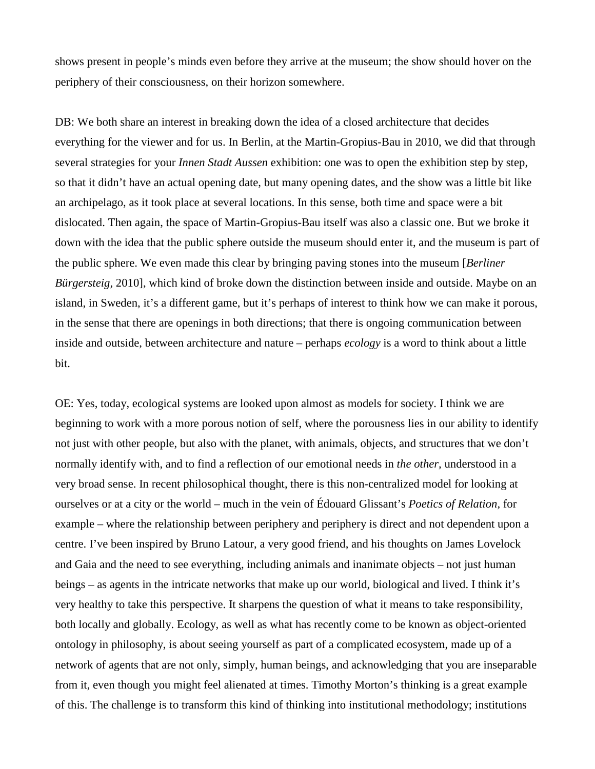shows present in people's minds even before they arrive at the museum; the show should hover on the periphery of their consciousness, on their horizon somewhere.

DB: We both share an interest in breaking down the idea of a closed architecture that decides everything for the viewer and for us. In Berlin, at the Martin-Gropius-Bau in 2010, we did that through several strategies for your *Innen Stadt Aussen* exhibition: one was to open the exhibition step by step, so that it didn't have an actual opening date, but many opening dates, and the show was a little bit like an archipelago, as it took place at several locations. In this sense, both time and space were a bit dislocated. Then again, the space of Martin-Gropius-Bau itself was also a classic one. But we broke it down with the idea that the public sphere outside the museum should enter it, and the museum is part of the public sphere. We even made this clear by bringing paving stones into the museum [*Berliner Bürgersteig,* 2010], which kind of broke down the distinction between inside and outside. Maybe on an island, in Sweden, it's a different game, but it's perhaps of interest to think how we can make it porous, in the sense that there are openings in both directions; that there is ongoing communication between inside and outside, between architecture and nature – perhaps *ecology* is a word to think about a little bit.

OE: Yes, today, ecological systems are looked upon almost as models for society. I think we are beginning to work with a more porous notion of self, where the porousness lies in our ability to identify not just with other people, but also with the planet, with animals, objects, and structures that we don't normally identify with, and to find a reflection of our emotional needs in *the other,* understood in a very broad sense. In recent philosophical thought, there is this non-centralized model for looking at ourselves or at a city or the world – much in the vein of Édouard Glissant's *Poetics of Relation,* for example – where the relationship between periphery and periphery is direct and not dependent upon a centre. I've been inspired by Bruno Latour, a very good friend, and his thoughts on James Lovelock and Gaia and the need to see everything, including animals and inanimate objects – not just human beings – as agents in the intricate networks that make up our world, biological and lived. I think it's very healthy to take this perspective. It sharpens the question of what it means to take responsibility, both locally and globally. Ecology, as well as what has recently come to be known as object-oriented ontology in philosophy, is about seeing yourself as part of a complicated ecosystem, made up of a network of agents that are not only, simply, human beings, and acknowledging that you are inseparable from it, even though you might feel alienated at times. Timothy Morton's thinking is a great example of this. The challenge is to transform this kind of thinking into institutional methodology; institutions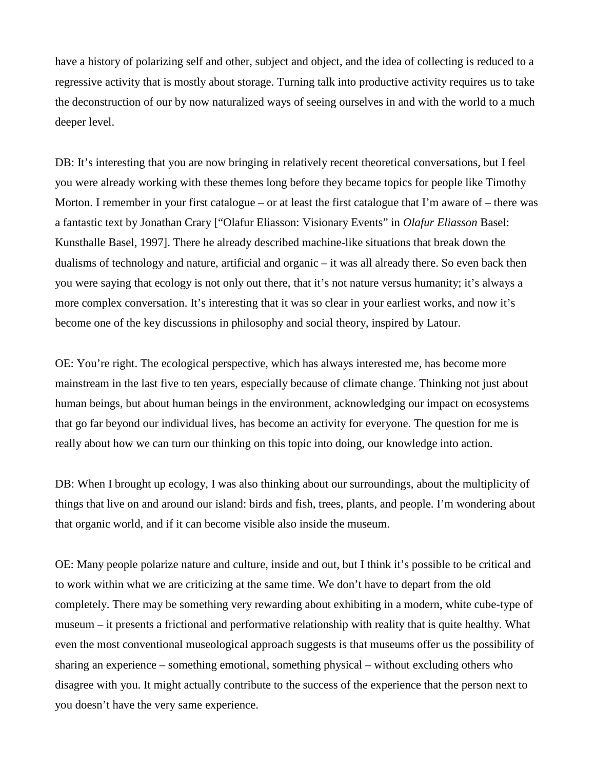have a history of polarizing self and other, subject and object, and the idea of collecting is reduced to a regressive activity that is mostly about storage. Turning talk into productive activity requires us to take the deconstruction of our by now naturalized ways of seeing ourselves in and with the world to a much deeper level.

DB: It's interesting that you are now bringing in relatively recent theoretical conversations, but I feel you were already working with these themes long before they became topics for people like Timothy Morton. I remember in your first catalogue – or at least the first catalogue that I'm aware of – there was a fantastic text by Jonathan Crary ["Olafur Eliasson: Visionary Events" in *Olafur Eliasson* Basel: Kunsthalle Basel, 1997]. There he already described machine-like situations that break down the dualisms of technology and nature, artificial and organic – it was all already there. So even back then you were saying that ecology is not only out there, that it's not nature versus humanity; it's always a more complex conversation. It's interesting that it was so clear in your earliest works, and now it's become one of the key discussions in philosophy and social theory, inspired by Latour.

OE: You're right. The ecological perspective, which has always interested me, has become more mainstream in the last five to ten years, especially because of climate change. Thinking not just about human beings, but about human beings in the environment, acknowledging our impact on ecosystems that go far beyond our individual lives, has become an activity for everyone. The question for me is really about how we can turn our thinking on this topic into doing, our knowledge into action.

DB: When I brought up ecology, I was also thinking about our surroundings, about the multiplicity of things that live on and around our island: birds and fish, trees, plants, and people. I'm wondering about that organic world, and if it can become visible also inside the museum.

OE: Many people polarize nature and culture, inside and out, but I think it's possible to be critical and to work within what we are criticizing at the same time. We don't have to depart from the old completely. There may be something very rewarding about exhibiting in a modern, white cube-type of museum – it presents a frictional and performative relationship with reality that is quite healthy. What even the most conventional museological approach suggests is that museums offer us the possibility of sharing an experience – something emotional, something physical – without excluding others who disagree with you. It might actually contribute to the success of the experience that the person next to you doesn't have the very same experience.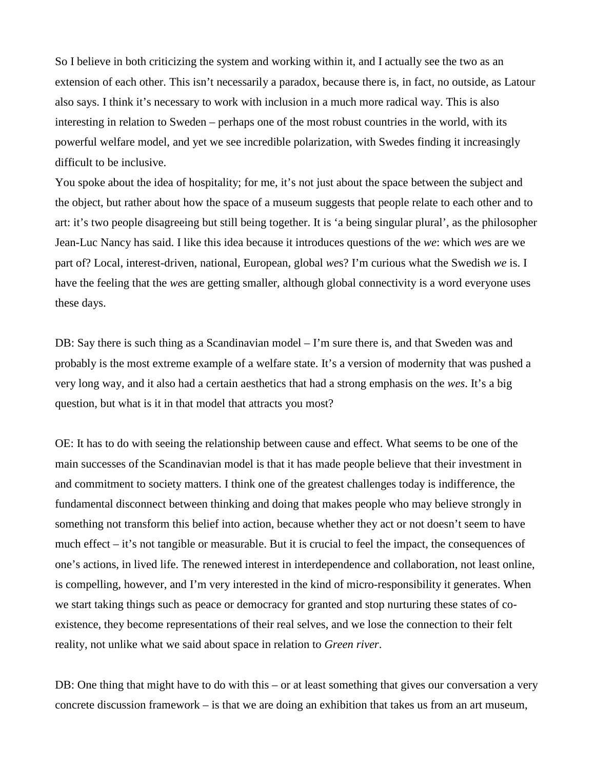So I believe in both criticizing the system and working within it, and I actually see the two as an extension of each other. This isn't necessarily a paradox, because there is, in fact, no outside, as Latour also says. I think it's necessary to work with inclusion in a much more radical way. This is also interesting in relation to Sweden – perhaps one of the most robust countries in the world, with its powerful welfare model, and yet we see incredible polarization, with Swedes finding it increasingly difficult to be inclusive.

You spoke about the idea of hospitality; for me, it's not just about the space between the subject and the object, but rather about how the space of a museum suggests that people relate to each other and to art: it's two people disagreeing but still being together. It is 'a being singular plural', as the philosopher Jean-Luc Nancy has said. I like this idea because it introduces questions of the *we*: which *we*s are we part of? Local, interest-driven, national, European, global *we*s? I'm curious what the Swedish *we* is. I have the feeling that the *we*s are getting smaller, although global connectivity is a word everyone uses these days.

DB: Say there is such thing as a Scandinavian model – I'm sure there is, and that Sweden was and probably is the most extreme example of a welfare state. It's a version of modernity that was pushed a very long way, and it also had a certain aesthetics that had a strong emphasis on the *wes*. It's a big question, but what is it in that model that attracts you most?

OE: It has to do with seeing the relationship between cause and effect. What seems to be one of the main successes of the Scandinavian model is that it has made people believe that their investment in and commitment to society matters. I think one of the greatest challenges today is indifference, the fundamental disconnect between thinking and doing that makes people who may believe strongly in something not transform this belief into action, because whether they act or not doesn't seem to have much effect – it's not tangible or measurable. But it is crucial to feel the impact, the consequences of one's actions, in lived life. The renewed interest in interdependence and collaboration, not least online, is compelling, however, and I'm very interested in the kind of micro-responsibility it generates. When we start taking things such as peace or democracy for granted and stop nurturing these states of coexistence, they become representations of their real selves, and we lose the connection to their felt reality, not unlike what we said about space in relation to *Green river*.

DB: One thing that might have to do with this – or at least something that gives our conversation a very concrete discussion framework – is that we are doing an exhibition that takes us from an art museum,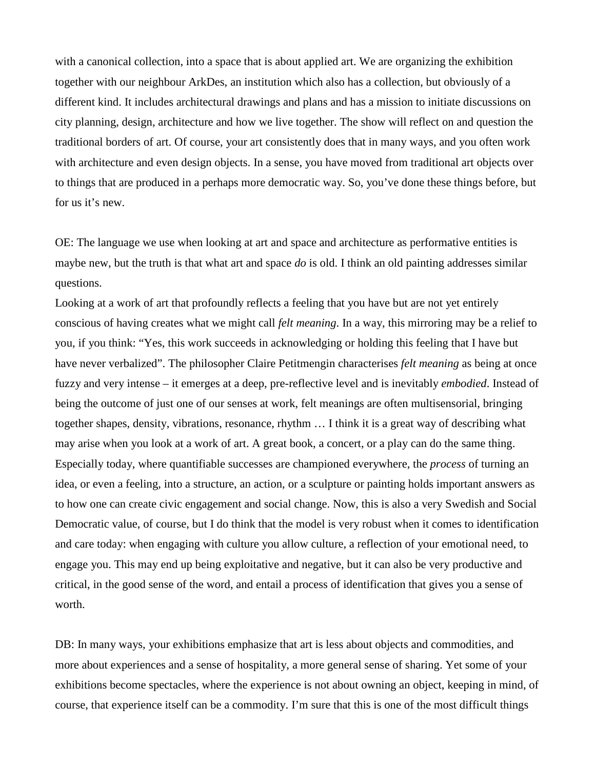with a canonical collection, into a space that is about applied art. We are organizing the exhibition together with our neighbour ArkDes, an institution which also has a collection, but obviously of a different kind. It includes architectural drawings and plans and has a mission to initiate discussions on city planning, design, architecture and how we live together. The show will reflect on and question the traditional borders of art. Of course, your art consistently does that in many ways, and you often work with architecture and even design objects. In a sense, you have moved from traditional art objects over to things that are produced in a perhaps more democratic way. So, you've done these things before, but for us it's new.

OE: The language we use when looking at art and space and architecture as performative entities is maybe new, but the truth is that what art and space *do* is old. I think an old painting addresses similar questions.

Looking at a work of art that profoundly reflects a feeling that you have but are not yet entirely conscious of having creates what we might call *felt meaning*. In a way, this mirroring may be a relief to you, if you think: "Yes, this work succeeds in acknowledging or holding this feeling that I have but have never verbalized". The philosopher Claire Petitmengin characterises *felt meaning* as being at once fuzzy and very intense – it emerges at a deep, pre-reflective level and is inevitably *embodied*. Instead of being the outcome of just one of our senses at work, felt meanings are often multisensorial, bringing together shapes, density, vibrations, resonance, rhythm … I think it is a great way of describing what may arise when you look at a work of art. A great book, a concert, or a play can do the same thing. Especially today, where quantifiable successes are championed everywhere, the *process* of turning an idea, or even a feeling, into a structure, an action, or a sculpture or painting holds important answers as to how one can create civic engagement and social change. Now, this is also a very Swedish and Social Democratic value, of course, but I do think that the model is very robust when it comes to identification and care today: when engaging with culture you allow culture, a reflection of your emotional need, to engage you. This may end up being exploitative and negative, but it can also be very productive and critical, in the good sense of the word, and entail a process of identification that gives you a sense of worth.

DB: In many ways, your exhibitions emphasize that art is less about objects and commodities, and more about experiences and a sense of hospitality, a more general sense of sharing. Yet some of your exhibitions become spectacles, where the experience is not about owning an object, keeping in mind, of course, that experience itself can be a commodity. I'm sure that this is one of the most difficult things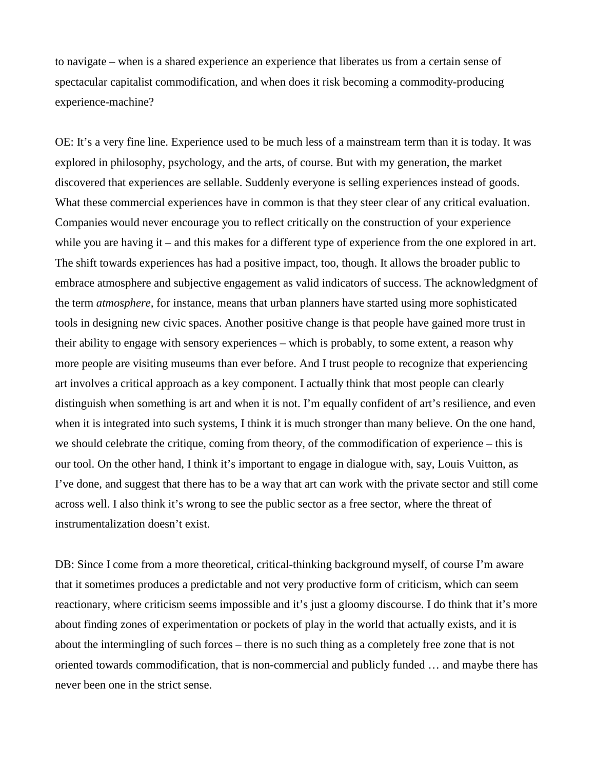to navigate – when is a shared experience an experience that liberates us from a certain sense of spectacular capitalist commodification, and when does it risk becoming a commodity-producing experience-machine?

OE: It's a very fine line. Experience used to be much less of a mainstream term than it is today. It was explored in philosophy, psychology, and the arts, of course. But with my generation, the market discovered that experiences are sellable. Suddenly everyone is selling experiences instead of goods. What these commercial experiences have in common is that they steer clear of any critical evaluation. Companies would never encourage you to reflect critically on the construction of your experience while you are having it – and this makes for a different type of experience from the one explored in art. The shift towards experiences has had a positive impact, too, though. It allows the broader public to embrace atmosphere and subjective engagement as valid indicators of success. The acknowledgment of the term *atmosphere,* for instance, means that urban planners have started using more sophisticated tools in designing new civic spaces. Another positive change is that people have gained more trust in their ability to engage with sensory experiences – which is probably, to some extent, a reason why more people are visiting museums than ever before. And I trust people to recognize that experiencing art involves a critical approach as a key component. I actually think that most people can clearly distinguish when something is art and when it is not. I'm equally confident of art's resilience, and even when it is integrated into such systems, I think it is much stronger than many believe. On the one hand, we should celebrate the critique, coming from theory, of the commodification of experience – this is our tool. On the other hand, I think it's important to engage in dialogue with, say, Louis Vuitton, as I've done, and suggest that there has to be a way that art can work with the private sector and still come across well. I also think it's wrong to see the public sector as a free sector, where the threat of instrumentalization doesn't exist.

DB: Since I come from a more theoretical, critical-thinking background myself, of course I'm aware that it sometimes produces a predictable and not very productive form of criticism, which can seem reactionary, where criticism seems impossible and it's just a gloomy discourse. I do think that it's more about finding zones of experimentation or pockets of play in the world that actually exists, and it is about the intermingling of such forces – there is no such thing as a completely free zone that is not oriented towards commodification, that is non-commercial and publicly funded … and maybe there has never been one in the strict sense.